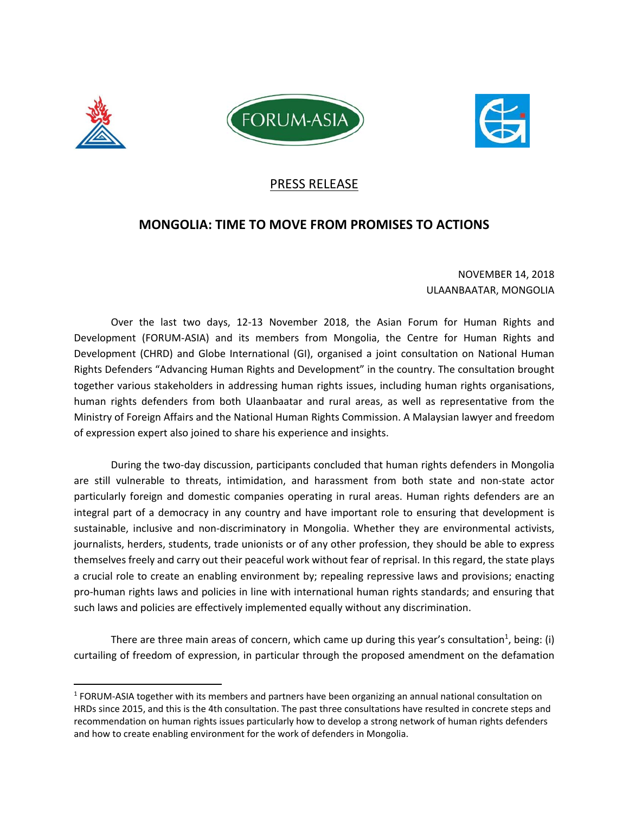





### PRESS RELEASE

## **MONGOLIA: TIME TO MOVE FROM PROMISES TO ACTIONS**

#### NOVEMBER 14, 2018 ULAANBAATAR, MONGOLIA

Over the last two days, 12-13 November 2018, the Asian Forum for Human Rights and Development (FORUM-ASIA) and its members from Mongolia, the Centre for Human Rights and Development (CHRD) and Globe International (GI), organised a joint consultation on National Human Rights Defenders "Advancing Human Rights and Development" in the country. The consultation brought together various stakeholders in addressing human rights issues, including human rights organisations, human rights defenders from both Ulaanbaatar and rural areas, as well as representative from the Ministry of Foreign Affairs and the National Human Rights Commission. A Malaysian lawyer and freedom of expression expert also joined to share his experience and insights.

During the two‐day discussion, participants concluded that human rights defenders in Mongolia are still vulnerable to threats, intimidation, and harassment from both state and non‐state actor particularly foreign and domestic companies operating in rural areas. Human rights defenders are an integral part of a democracy in any country and have important role to ensuring that development is sustainable, inclusive and non‐discriminatory in Mongolia. Whether they are environmental activists, journalists, herders, students, trade unionists or of any other profession, they should be able to express themselves freely and carry out their peaceful work without fear of reprisal. In this regard, the state plays a crucial role to create an enabling environment by; repealing repressive laws and provisions; enacting pro‐human rights laws and policies in line with international human rights standards; and ensuring that such laws and policies are effectively implemented equally without any discrimination.

There are three main areas of concern, which came up during this year's consultation<sup>1</sup>, being: (i) curtailing of freedom of expression, in particular through the proposed amendment on the defamation

<sup>1</sup> FORUM‐ASIA together with its members and partners have been organizing an annual national consultation on HRDs since 2015, and this is the 4th consultation. The past three consultations have resulted in concrete steps and recommendation on human rights issues particularly how to develop a strong network of human rights defenders and how to create enabling environment for the work of defenders in Mongolia.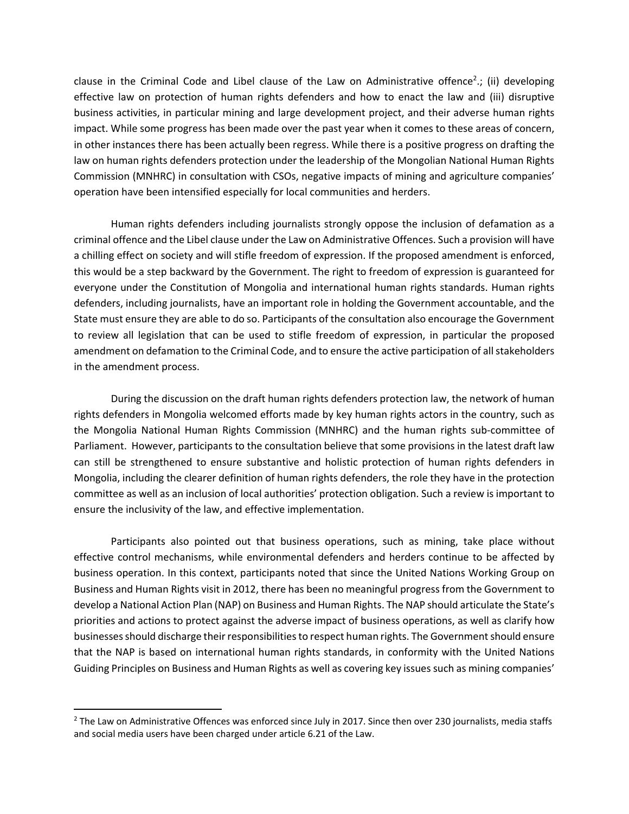clause in the Criminal Code and Libel clause of the Law on Administrative offence<sup>2</sup>.; (ii) developing effective law on protection of human rights defenders and how to enact the law and (iii) disruptive business activities, in particular mining and large development project, and their adverse human rights impact. While some progress has been made over the past year when it comes to these areas of concern, in other instances there has been actually been regress. While there is a positive progress on drafting the law on human rights defenders protection under the leadership of the Mongolian National Human Rights Commission (MNHRC) in consultation with CSOs, negative impacts of mining and agriculture companies' operation have been intensified especially for local communities and herders.

Human rights defenders including journalists strongly oppose the inclusion of defamation as a criminal offence and the Libel clause under the Law on Administrative Offences. Such a provision will have a chilling effect on society and will stifle freedom of expression. If the proposed amendment is enforced, this would be a step backward by the Government. The right to freedom of expression is guaranteed for everyone under the Constitution of Mongolia and international human rights standards. Human rights defenders, including journalists, have an important role in holding the Government accountable, and the State must ensure they are able to do so. Participants of the consultation also encourage the Government to review all legislation that can be used to stifle freedom of expression, in particular the proposed amendment on defamation to the Criminal Code, and to ensure the active participation of all stakeholders in the amendment process.

During the discussion on the draft human rights defenders protection law, the network of human rights defenders in Mongolia welcomed efforts made by key human rights actors in the country, such as the Mongolia National Human Rights Commission (MNHRC) and the human rights sub‐committee of Parliament. However, participants to the consultation believe that some provisions in the latest draft law can still be strengthened to ensure substantive and holistic protection of human rights defenders in Mongolia, including the clearer definition of human rights defenders, the role they have in the protection committee as well as an inclusion of local authorities' protection obligation. Such a review is important to ensure the inclusivity of the law, and effective implementation.

Participants also pointed out that business operations, such as mining, take place without effective control mechanisms, while environmental defenders and herders continue to be affected by business operation. In this context, participants noted that since the United Nations Working Group on Business and Human Rights visit in 2012, there has been no meaningful progress from the Government to develop a National Action Plan (NAP) on Business and Human Rights. The NAP should articulate the State's priorities and actions to protect against the adverse impact of business operations, as well as clarify how businesses should discharge their responsibilities to respect human rights. The Government should ensure that the NAP is based on international human rights standards, in conformity with the United Nations Guiding Principles on Business and Human Rights as well as covering key issues such as mining companies'

 $^2$  The Law on Administrative Offences was enforced since July in 2017. Since then over 230 journalists, media staffs and social media users have been charged under article 6.21 of the Law.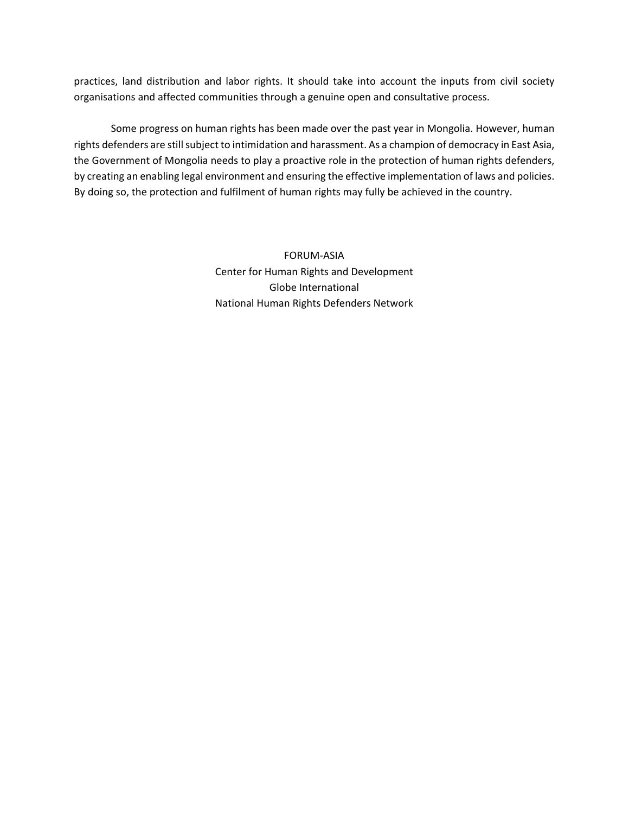practices, land distribution and labor rights. It should take into account the inputs from civil society organisations and affected communities through a genuine open and consultative process.

Some progress on human rights has been made over the past year in Mongolia. However, human rights defenders are still subject to intimidation and harassment. As a champion of democracy in East Asia, the Government of Mongolia needs to play a proactive role in the protection of human rights defenders, by creating an enabling legal environment and ensuring the effective implementation of laws and policies. By doing so, the protection and fulfilment of human rights may fully be achieved in the country.

> FORUM‐ASIA Center for Human Rights and Development Globe International National Human Rights Defenders Network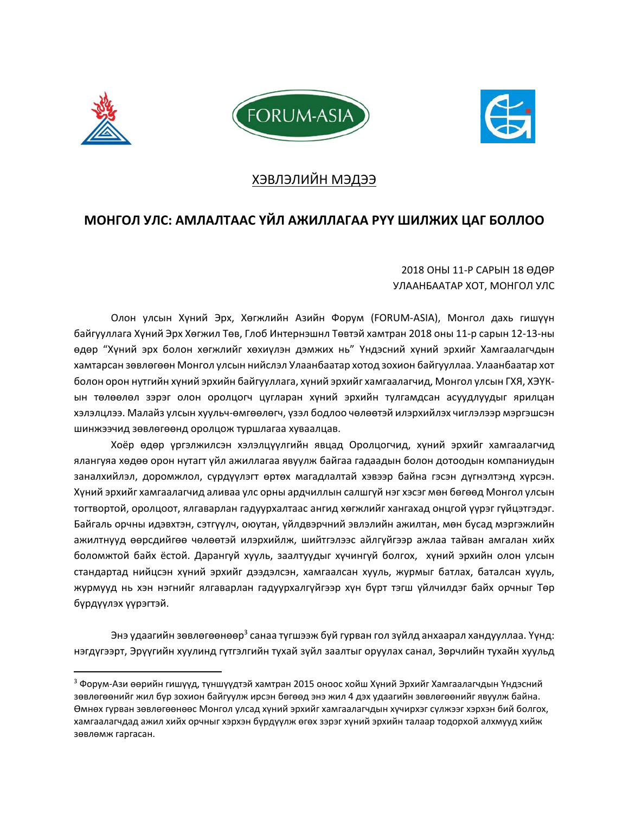





## ХЭВЛЭЛИЙН МЭДЭЭ

# **МОНГОЛ УЛС: АМЛАЛТААС ҮЙЛ АЖИЛЛАГАА РҮҮ ШИЛЖИХ ЦАГ БОЛЛОО**

2018 ОНЫ 11‐Р САРЫН 18 ӨДӨР УЛААНБААТАР ХОТ, МОНГОЛ УЛС

Олон улсын Хүний Эрх, Хөгжлийн Азийн Форум (FORUM‐ASIA), Монгол дахь гишүүн байгууллага Хүний Эрх Хөгжил Төв, Глоб Интернэшнл Төвтэй хамтран 2018 оны 11‐р сарын 12‐13‐ны өдөр "Хүний эрх болон хөгжлийг хөхиүлэн дэмжих нь" Үндэсний хүний эрхийг Хамгаалагчдын хамтарсан зөвлөгөөн Монгол улсын нийслэл Улаанбаатар хотод зохион байгууллаа. Улаанбаатар хот болон орон нутгийн хүний эрхийн байгууллага, хүний эрхийг хамгаалагчид, Монгол улсын ГХЯ, ХЭҮК‐ ын төлөөлөл зэрэг олон оролцогч цугларан хүний эрхийн тулгамдсан асуудлуудыг ярилцан хэлэлцлээ. Малайз улсын хуульч‐өмгөөлөгч, үзэл бодлоо чөлөөтэй илэрхийлэх чиглэлээр мэргэшсэн шинжээчид зөвлөгөөнд оролцож туршлагаа хуваалцав.

Хоёр өдөр үргэлжилсэн хэлэлцүүлгийн явцад Оролцогчид, хүний эрхийг хамгаалагчид ялангуяа хөдөө орон нутагт үйл ажиллагаа явуулж байгаа гадаадын болон дотоодын компаниудын заналхийлэл, доромжлол, сүрдүүлэгт өртөх магадлалтай хэвээр байна гэсэн дүгнэлтэнд хүрсэн. Хүний эрхийг хамгаалагчид аливаа улс орны ардчиллын салшгүй нэг хэсэг мөн бөгөөд Монгол улсын тогтвортой, оролцоот, ялгаварлан гадуурхалтаас ангид хөгжлийг хангахад онцгой үүрэг гүйцэтгэдэг. Байгаль орчны идэвхтэн, сэтгүүлч, оюутан, үйлдвэрчний эвлэлийн ажилтан, мөн бусад мэргэжлийн ажилтнууд өөрсдийгөө чөлөөтэй илэрхийлж, шийтгэлээс айлгүйгээр ажлаа тайван амгалан хийх боломжтой байх ёстой. Дарангуй хууль, заалтуудыг хүчингүй болгох, хүний эрхийн олон улсын стандартад нийцсэн хүний эрхийг дээдэлсэн, хамгаалсан хууль, журмыг батлах, баталсан хууль, журмууд нь хэн нэгнийг ялгаварлан гадуурхалгүйгээр хүн бүрт тэгш үйлчилдэг байх орчныг Төр бүрдүүлэх үүрэгтэй.

Энэ удаагийн зөвлөгөөнөөр<sup>з</sup> санаа түгшээж буй гурван гол зүйлд анхаарал хандууллаа. Үүнд: нэгдүгээрт, Эрүүгийн хуулинд гүтгэлгийн тухай зүйл заалтыг оруулах санал, Зөрчлийн тухайн хуульд

 $^3$  Форум-Ази өөрийн гишүүд, түншүүдтэй хамтран 2015 оноос хойш Хүний Эрхийг Хамгаалагчдын Үндэсний зөвлөгөөнийг жил бүр зохион байгуулж ирсэн бөгөөд энэ жил 4 дэх удаагийн зөвлөгөөнийг явуулж байна. Өмнөх гурван зөвлөгөөнөөс Монгол улсад хүний эрхийг хамгаалагчдын хүчирхэг сүлжээг хэрхэн бий болгох, хамгаалагчдад ажил хийх орчныг хэрхэн бүрдүүлж өгөх зэрэг хүний эрхийн талаар тодорхой алхмууд хийж зөвлөмж гаргасан.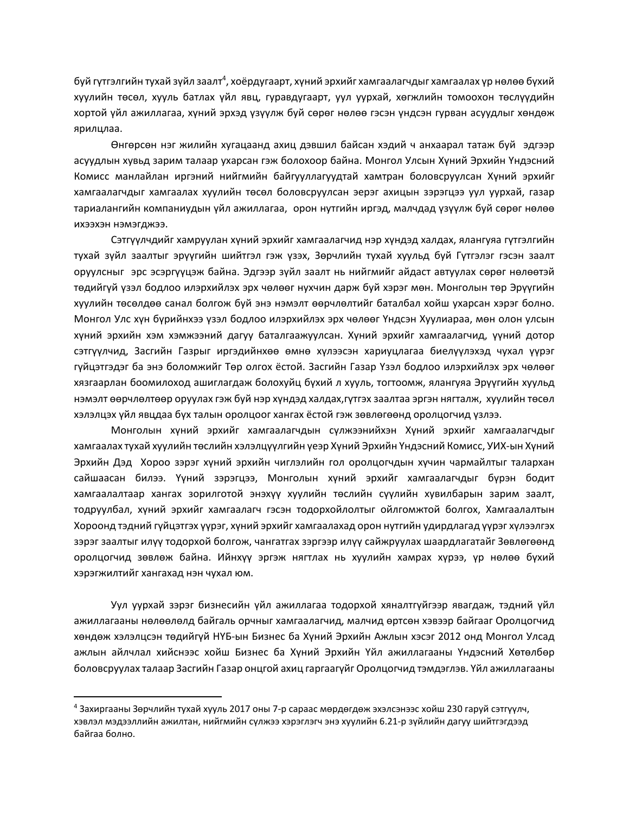буй гүтгэлгийн тухай зүйл заалт<sup>4</sup>, хоёрдугаарт, хүний эрхийг хамгаалагчдыг хамгаалах үр нөлөө бүхий хуулийн төсөл, хууль батлах үйл явц, гуравдугаарт, уул уурхай, хөгжлийн томоохон төслүүдийн хортой үйл ажиллагаа, хүний эрхэд үзүүлж буй сөрөг нөлөө гэсэн үндсэн гурван асуудлыг хөндөж ярилцлаа.

Өнгөрсөн нэг жилийн хугацаанд ахиц дэвшил байсан хэдий ч анхаарал татаж буй эдгээр асуудлын хувьд зарим талаар ухарсан гэж болохоор байна. Монгол Улсын Хүний Эрхийн Үндэсний Комисс манлайлан иргэний нийгмийн байгууллагуудтай хамтран боловсруулсан Хүний эрхийг хамгаалагчдыг хамгаалах хуулийн төсөл боловсруулсан эерэг ахицын зэрэгцээ уул уурхай, газар тариалангийн компаниудын үйл ажиллагаа, орон нутгийн иргэд, малчдад үзүүлж буй сөрөг нөлөө ихээхэн нэмэгджээ.

Сэтгүүлчдийг хамруулан хүний эрхийг хамгаалагчид нэр хүндэд халдах, ялангуяа гүтгэлгийн тухай зүйл заалтыг эрүүгийн шийтгэл гэж үзэх, Зөрчлийн тухай хуульд буй Гүтгэлэг гэсэн заалт оруулсныг эрс эсэргүүцэж байна. Эдгээр зүйл заалт нь нийгмийг айдаст автуулах сөрөг нөлөөтэй төдийгүй үзэл бодлоо илэрхийлэх эрх чөлөөг нухчин дарж буй хэрэг мөн. Монголын төр Эрүүгийн хуулийн төсөлдөө санал болгож буй энэ нэмэлт өөрчлөлтийг баталбал хойш ухарсан хэрэг болно. Монгол Улс хүн бүрийнхээ үзэл бодлоо илэрхийлэх эрх чөлөөг Үндсэн Хуулиараа, мөн олон улсын хүний эрхийн хэм хэмжээний дагуу баталгаажуулсан. Хүний эрхийг хамгаалагчид, үүний дотор сэтгүүлчид, Засгийн Газрыг иргэдийнхөө өмнө хүлээсэн хариуцлагаа биелүүлэхэд чухал үүрэг гүйцэтгэдэг ба энэ боломжийг Төр олгох ёстой. Засгийн Газар Үзэл бодлоо илэрхийлэх эрх чөлөөг хязгаарлан боомилоход ашиглагдаж болохуйц бүхий л хууль, тогтоомж, ялангуяа Эрүүгийн хуульд нэмэлт өөрчлөлтөөр оруулах гэж буй нэр хүндэд халдах,гүтгэх заалтаа эргэн нягталж, хуулийн төсөл хэлэлцэх үйл явцдаа бүх талын оролцоог хангах ёстой гэж зөвлөгөөнд оролцогчид үзлээ.

Монголын хүний эрхийг хамгаалагчдын сүлжээнийхэн Хүний эрхийг хамгаалагчдыг хамгаалах тухай хуулийн төслийн хэлэлцүүлгийн үеэр Хүний Эрхийн Үндэсний Комисс, УИХ‐ын Хүний Эрхийн Дэд Хороо зэрэг хүний эрхийн чиглэлийн гол оролцогчдын хүчин чармайлтыг талархан сайшаасан билээ. Үүний зэрэгцээ, Монголын хүний эрхийг хамгаалагчдыг бүрэн бодит хамгаалалтаар хангах зорилготой энэхүү хуулийн төслийн сүүлийн хувилбарын зарим заалт, тодруулбал, хүний эрхийг хамгаалагч гэсэн тодорхойлолтыг ойлгомжтой болгох, Хамгаалалтын Хороонд тэдний гүйцэтгэх үүрэг, хүний эрхийг хамгаалахад орон нутгийн удирдлагад үүрэг хүлээлгэх зэрэг заалтыг илүү тодорхой болгож, чангатгах зэргээр илүү сайжруулах шаардлагатайг Зөвлөгөөнд оролцогчид зөвлөж байна. Ийнхүү эргэж нягтлах нь хуулийн хамрах хүрээ, үр нөлөө бүхий хэрэгжилтийг хангахад нэн чухал юм.

Уул уурхай зэрэг бизнесийн үйл ажиллагаа тодорхой хяналтгүйгээр явагдаж, тэдний үйл ажиллагааны нөлөөлөлд байгаль орчныг хамгаалагчид, малчид өртсөн хэвээр байгааг Оролцогчид хөндөж хэлэлцсэн төдийгүй НҮБ‐ын Бизнес ба Хүний Эрхийн Ажлын хэсэг 2012 онд Монгол Улсад ажлын айлчлал хийснээс хойш Бизнес ба Хүний Эрхийн Үйл ажиллагааны Үндэсний Хөтөлбөр боловсруулах талаар Засгийн Газар онцгой ахиц гаргаагүйг Оролцогчид тэмдэглэв. Үйл ажиллагааны

<sup>4</sup> Захиргааны Зөрчлийн тухай хууль 2017 оны 7‐р сараас мөрдөгдөж эхэлсэнээс хойш 230 гаруй сэтгүүлч, хэвлэл мэдээллийн ажилтан, нийгмийн сүлжээ хэрэглэгч энэ хуулийн 6.21‐р зүйлийн дагуу шийтгэгдээд байгаа болно.